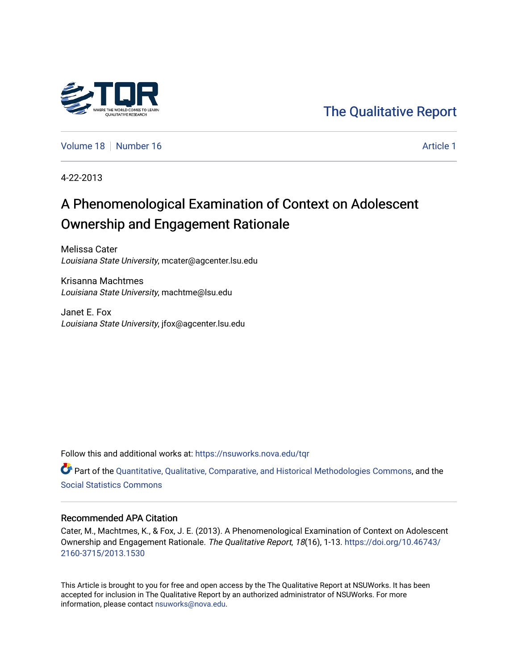

[The Qualitative Report](https://nsuworks.nova.edu/tqr) 

[Volume 18](https://nsuworks.nova.edu/tqr/vol18) [Number 16](https://nsuworks.nova.edu/tqr/vol18/iss16) [Article 1](https://nsuworks.nova.edu/tqr/vol18/iss16/1) Article 1 Article 1

4-22-2013

# A Phenomenological Examination of Context on Adolescent Ownership and Engagement Rationale

Melissa Cater Louisiana State University, mcater@agcenter.lsu.edu

Krisanna Machtmes Louisiana State University, machtme@lsu.edu

Janet E. Fox Louisiana State University, jfox@agcenter.lsu.edu

Follow this and additional works at: [https://nsuworks.nova.edu/tqr](https://nsuworks.nova.edu/tqr?utm_source=nsuworks.nova.edu%2Ftqr%2Fvol18%2Fiss16%2F1&utm_medium=PDF&utm_campaign=PDFCoverPages) 

Part of the [Quantitative, Qualitative, Comparative, and Historical Methodologies Commons,](http://network.bepress.com/hgg/discipline/423?utm_source=nsuworks.nova.edu%2Ftqr%2Fvol18%2Fiss16%2F1&utm_medium=PDF&utm_campaign=PDFCoverPages) and the [Social Statistics Commons](http://network.bepress.com/hgg/discipline/1275?utm_source=nsuworks.nova.edu%2Ftqr%2Fvol18%2Fiss16%2F1&utm_medium=PDF&utm_campaign=PDFCoverPages) 

#### Recommended APA Citation

Cater, M., Machtmes, K., & Fox, J. E. (2013). A Phenomenological Examination of Context on Adolescent Ownership and Engagement Rationale. The Qualitative Report, 18(16), 1-13. [https://doi.org/10.46743/](https://doi.org/10.46743/2160-3715/2013.1530) [2160-3715/2013.1530](https://doi.org/10.46743/2160-3715/2013.1530)

This Article is brought to you for free and open access by the The Qualitative Report at NSUWorks. It has been accepted for inclusion in The Qualitative Report by an authorized administrator of NSUWorks. For more information, please contact [nsuworks@nova.edu.](mailto:nsuworks@nova.edu)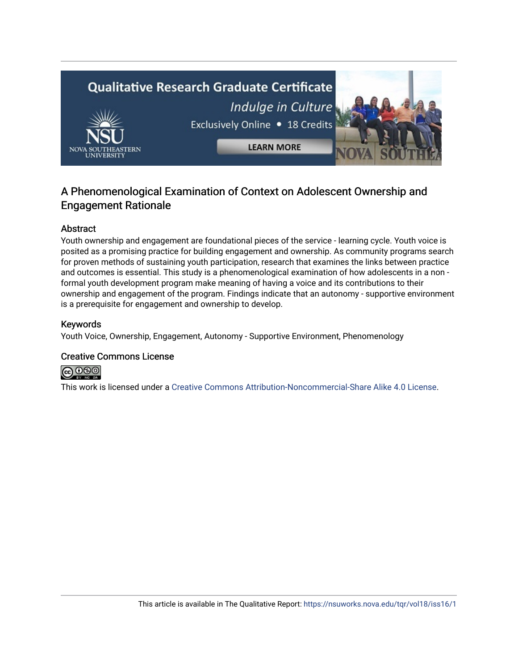

# A Phenomenological Examination of Context on Adolescent Ownership and Engagement Rationale

# Abstract

Youth ownership and engagement are foundational pieces of the service - learning cycle. Youth voice is posited as a promising practice for building engagement and ownership. As community programs search for proven methods of sustaining youth participation, research that examines the links between practice and outcomes is essential. This study is a phenomenological examination of how adolescents in a non formal youth development program make meaning of having a voice and its contributions to their ownership and engagement of the program. Findings indicate that an autonomy - supportive environment is a prerequisite for engagement and ownership to develop.

# Keywords

Youth Voice, Ownership, Engagement, Autonomy - Supportive Environment, Phenomenology

# Creative Commons License



This work is licensed under a [Creative Commons Attribution-Noncommercial-Share Alike 4.0 License](https://creativecommons.org/licenses/by-nc-sa/4.0/).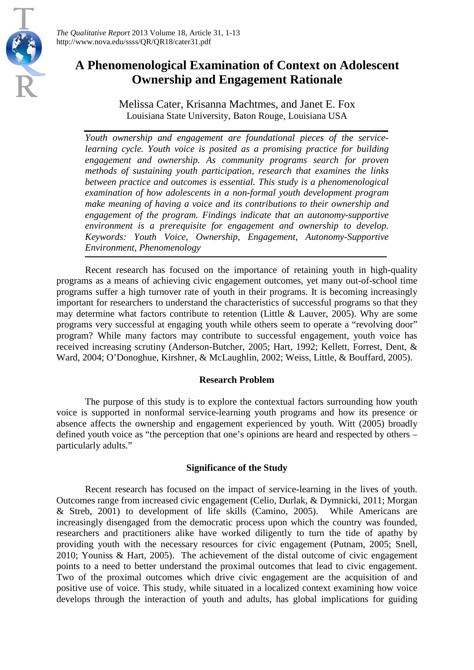

*The Qualitative Report* 2013 Volume 18, Article 31, 1-13 http://www.nova.edu/ssss/QR/QR18/cater31.pdf

# **A Phenomenological Examination of Context on Adolescent Ownership and Engagement Rationale**

Melissa Cater, Krisanna Machtmes, and Janet E. Fox Louisiana State University, Baton Rouge, Louisiana USA

*Youth ownership and engagement are foundational pieces of the servicelearning cycle. Youth voice is posited as a promising practice for building engagement and ownership. As community programs search for proven methods of sustaining youth participation, research that examines the links between practice and outcomes is essential. This study is a phenomenological examination of how adolescents in a non-formal youth development program make meaning of having a voice and its contributions to their ownership and engagement of the program. Findings indicate that an autonomy-supportive environment is a prerequisite for engagement and ownership to develop. Keywords: Youth Voice, Ownership, Engagement, Autonomy-Supportive Environment, Phenomenology*

Recent research has focused on the importance of retaining youth in high-quality programs as a means of achieving civic engagement outcomes, yet many out-of-school time programs suffer a high turnover rate of youth in their programs. It is becoming increasingly important for researchers to understand the characteristics of successful programs so that they may determine what factors contribute to retention (Little & Lauver, 2005). Why are some programs very successful at engaging youth while others seem to operate a "revolving door" program? While many factors may contribute to successful engagement, youth voice has received increasing scrutiny (Anderson-Butcher, 2005; Hart, 1992; Kellett, Forrest, Dent, & Ward, 2004; O'Donoghue, Kirshner, & McLaughlin, 2002; Weiss, Little, & Bouffard, 2005).

#### **Research Problem**

The purpose of this study is to explore the contextual factors surrounding how youth voice is supported in nonformal service-learning youth programs and how its presence or absence affects the ownership and engagement experienced by youth. Witt (2005) broadly defined youth voice as "the perception that one's opinions are heard and respected by others – particularly adults."

# **Significance of the Study**

Recent research has focused on the impact of service-learning in the lives of youth. Outcomes range from increased civic engagement (Celio, Durlak, & Dymnicki, 2011; Morgan & Streb, 2001) to development of life skills (Camino, 2005). While Americans are increasingly disengaged from the democratic process upon which the country was founded, researchers and practitioners alike have worked diligently to turn the tide of apathy by providing youth with the necessary resources for civic engagement (Putnam, 2005; Snell, 2010; Youniss & Hart, 2005). The achievement of the distal outcome of civic engagement points to a need to better understand the proximal outcomes that lead to civic engagement. Two of the proximal outcomes which drive civic engagement are the acquisition of and positive use of voice. This study, while situated in a localized context examining how voice develops through the interaction of youth and adults, has global implications for guiding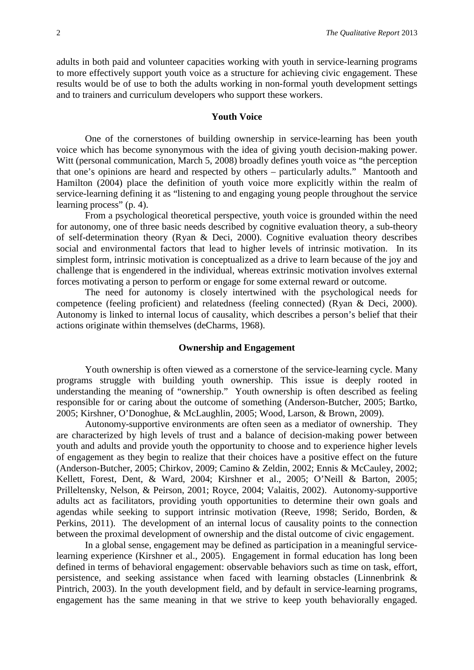adults in both paid and volunteer capacities working with youth in service-learning programs to more effectively support youth voice as a structure for achieving civic engagement. These results would be of use to both the adults working in non-formal youth development settings and to trainers and curriculum developers who support these workers.

#### **Youth Voice**

One of the cornerstones of building ownership in service-learning has been youth voice which has become synonymous with the idea of giving youth decision-making power. Witt (personal communication, March 5, 2008) broadly defines youth voice as "the perception that one's opinions are heard and respected by others – particularly adults." Mantooth and Hamilton (2004) place the definition of youth voice more explicitly within the realm of service-learning defining it as "listening to and engaging young people throughout the service learning process" (p. 4).

From a psychological theoretical perspective, youth voice is grounded within the need for autonomy, one of three basic needs described by cognitive evaluation theory, a sub-theory of self-determination theory (Ryan & Deci, 2000). Cognitive evaluation theory describes social and environmental factors that lead to higher levels of intrinsic motivation. In its simplest form, intrinsic motivation is conceptualized as a drive to learn because of the joy and challenge that is engendered in the individual, whereas extrinsic motivation involves external forces motivating a person to perform or engage for some external reward or outcome.

The need for autonomy is closely intertwined with the psychological needs for competence (feeling proficient) and relatedness (feeling connected) (Ryan & Deci, 2000). Autonomy is linked to internal locus of causality, which describes a person's belief that their actions originate within themselves (deCharms, 1968).

#### **Ownership and Engagement**

Youth ownership is often viewed as a cornerstone of the service-learning cycle. Many programs struggle with building youth ownership. This issue is deeply rooted in understanding the meaning of "ownership." Youth ownership is often described as feeling responsible for or caring about the outcome of something (Anderson-Butcher, 2005; Bartko, 2005; Kirshner, O'Donoghue, & McLaughlin, 2005; Wood, Larson, & Brown, 2009).

Autonomy-supportive environments are often seen as a mediator of ownership. They are characterized by high levels of trust and a balance of decision-making power between youth and adults and provide youth the opportunity to choose and to experience higher levels of engagement as they begin to realize that their choices have a positive effect on the future (Anderson-Butcher, 2005; Chirkov, 2009; Camino & Zeldin, 2002; Ennis & McCauley, 2002; Kellett, Forest, Dent, & Ward, 2004; Kirshner et al., 2005; O'Neill & Barton, 2005; Prilleltensky, Nelson, & Peirson, 2001; Royce, 2004; Valaitis, 2002). Autonomy-supportive adults act as facilitators, providing youth opportunities to determine their own goals and agendas while seeking to support intrinsic motivation (Reeve, 1998; Serido, Borden, & Perkins, 2011). The development of an internal locus of causality points to the connection between the proximal development of ownership and the distal outcome of civic engagement.

In a global sense, engagement may be defined as participation in a meaningful servicelearning experience (Kirshner et al., 2005). Engagement in formal education has long been defined in terms of behavioral engagement: observable behaviors such as time on task, effort, persistence, and seeking assistance when faced with learning obstacles (Linnenbrink & Pintrich, 2003). In the youth development field, and by default in service-learning programs, engagement has the same meaning in that we strive to keep youth behaviorally engaged.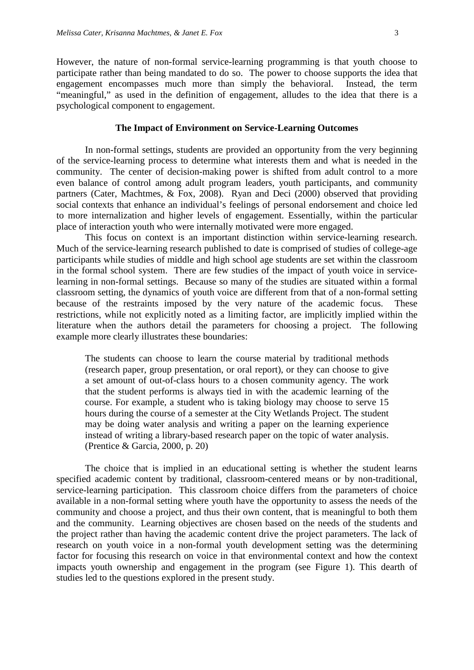However, the nature of non-formal service-learning programming is that youth choose to participate rather than being mandated to do so. The power to choose supports the idea that engagement encompasses much more than simply the behavioral. Instead, the term "meaningful," as used in the definition of engagement, alludes to the idea that there is a psychological component to engagement.

## **The Impact of Environment on Service-Learning Outcomes**

In non-formal settings, students are provided an opportunity from the very beginning of the service-learning process to determine what interests them and what is needed in the community. The center of decision-making power is shifted from adult control to a more even balance of control among adult program leaders, youth participants, and community partners (Cater, Machtmes, & Fox, 2008). Ryan and Deci (2000) observed that providing social contexts that enhance an individual's feelings of personal endorsement and choice led to more internalization and higher levels of engagement. Essentially, within the particular place of interaction youth who were internally motivated were more engaged.

This focus on context is an important distinction within service-learning research. Much of the service-learning research published to date is comprised of studies of college-age participants while studies of middle and high school age students are set within the classroom in the formal school system. There are few studies of the impact of youth voice in servicelearning in non-formal settings. Because so many of the studies are situated within a formal classroom setting, the dynamics of youth voice are different from that of a non-formal setting because of the restraints imposed by the very nature of the academic focus. These restrictions, while not explicitly noted as a limiting factor, are implicitly implied within the literature when the authors detail the parameters for choosing a project. The following example more clearly illustrates these boundaries:

The students can choose to learn the course material by traditional methods (research paper, group presentation, or oral report), or they can choose to give a set amount of out-of-class hours to a chosen community agency. The work that the student performs is always tied in with the academic learning of the course. For example, a student who is taking biology may choose to serve 15 hours during the course of a semester at the City Wetlands Project. The student may be doing water analysis and writing a paper on the learning experience instead of writing a library-based research paper on the topic of water analysis. (Prentice & Garcia, 2000, p. 20)

The choice that is implied in an educational setting is whether the student learns specified academic content by traditional, classroom-centered means or by non-traditional, service-learning participation. This classroom choice differs from the parameters of choice available in a non-formal setting where youth have the opportunity to assess the needs of the community and choose a project, and thus their own content, that is meaningful to both them and the community. Learning objectives are chosen based on the needs of the students and the project rather than having the academic content drive the project parameters. The lack of research on youth voice in a non-formal youth development setting was the determining factor for focusing this research on voice in that environmental context and how the context impacts youth ownership and engagement in the program (see Figure 1). This dearth of studies led to the questions explored in the present study.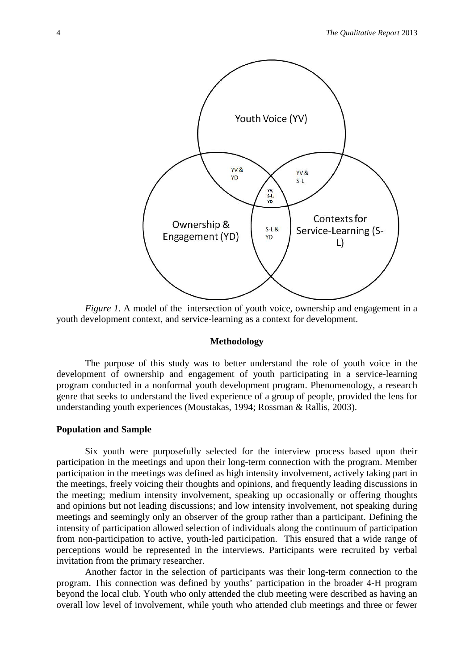

*Figure 1.* A model of the intersection of youth voice, ownership and engagement in a youth development context, and service-learning as a context for development.

#### **Methodology**

The purpose of this study was to better understand the role of youth voice in the development of ownership and engagement of youth participating in a service-learning program conducted in a nonformal youth development program. Phenomenology, a research genre that seeks to understand the lived experience of a group of people, provided the lens for understanding youth experiences (Moustakas, 1994; Rossman & Rallis, 2003).

### **Population and Sample**

Six youth were purposefully selected for the interview process based upon their participation in the meetings and upon their long-term connection with the program. Member participation in the meetings was defined as high intensity involvement, actively taking part in the meetings, freely voicing their thoughts and opinions, and frequently leading discussions in the meeting; medium intensity involvement, speaking up occasionally or offering thoughts and opinions but not leading discussions; and low intensity involvement, not speaking during meetings and seemingly only an observer of the group rather than a participant. Defining the intensity of participation allowed selection of individuals along the continuum of participation from non-participation to active, youth-led participation. This ensured that a wide range of perceptions would be represented in the interviews. Participants were recruited by verbal invitation from the primary researcher.

Another factor in the selection of participants was their long-term connection to the program. This connection was defined by youths' participation in the broader 4-H program beyond the local club. Youth who only attended the club meeting were described as having an overall low level of involvement, while youth who attended club meetings and three or fewer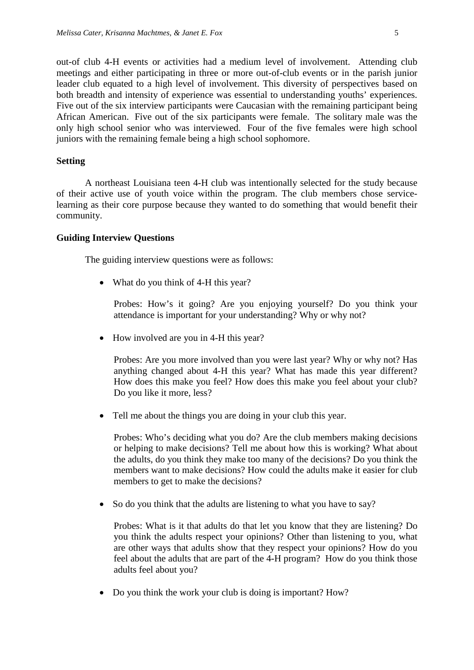out-of club 4-H events or activities had a medium level of involvement. Attending club meetings and either participating in three or more out-of-club events or in the parish junior leader club equated to a high level of involvement. This diversity of perspectives based on both breadth and intensity of experience was essential to understanding youths' experiences. Five out of the six interview participants were Caucasian with the remaining participant being African American. Five out of the six participants were female. The solitary male was the only high school senior who was interviewed. Four of the five females were high school juniors with the remaining female being a high school sophomore.

#### **Setting**

A northeast Louisiana teen 4-H club was intentionally selected for the study because of their active use of youth voice within the program. The club members chose servicelearning as their core purpose because they wanted to do something that would benefit their community.

#### **Guiding Interview Questions**

The guiding interview questions were as follows:

• What do you think of 4-H this year?

Probes: How's it going? Are you enjoying yourself? Do you think your attendance is important for your understanding? Why or why not?

• How involved are you in 4-H this year?

Probes: Are you more involved than you were last year? Why or why not? Has anything changed about 4-H this year? What has made this year different? How does this make you feel? How does this make you feel about your club? Do you like it more, less?

• Tell me about the things you are doing in your club this year.

Probes: Who's deciding what you do? Are the club members making decisions or helping to make decisions? Tell me about how this is working? What about the adults, do you think they make too many of the decisions? Do you think the members want to make decisions? How could the adults make it easier for club members to get to make the decisions?

• So do you think that the adults are listening to what you have to say?

Probes: What is it that adults do that let you know that they are listening? Do you think the adults respect your opinions? Other than listening to you, what are other ways that adults show that they respect your opinions? How do you feel about the adults that are part of the 4-H program? How do you think those adults feel about you?

• Do you think the work your club is doing is important? How?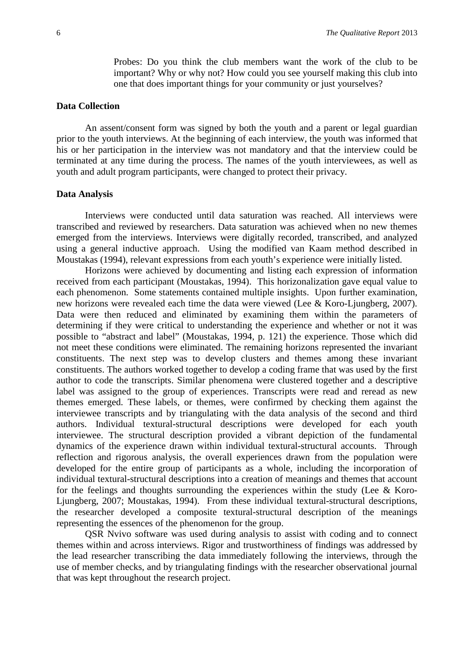Probes: Do you think the club members want the work of the club to be important? Why or why not? How could you see yourself making this club into one that does important things for your community or just yourselves?

#### **Data Collection**

An assent/consent form was signed by both the youth and a parent or legal guardian prior to the youth interviews. At the beginning of each interview, the youth was informed that his or her participation in the interview was not mandatory and that the interview could be terminated at any time during the process. The names of the youth interviewees, as well as youth and adult program participants, were changed to protect their privacy.

#### **Data Analysis**

Interviews were conducted until data saturation was reached. All interviews were transcribed and reviewed by researchers. Data saturation was achieved when no new themes emerged from the interviews. Interviews were digitally recorded, transcribed, and analyzed using a general inductive approach. Using the modified van Kaam method described in Moustakas (1994), relevant expressions from each youth's experience were initially listed.

Horizons were achieved by documenting and listing each expression of information received from each participant (Moustakas, 1994). This horizonalization gave equal value to each phenomenon. Some statements contained multiple insights. Upon further examination, new horizons were revealed each time the data were viewed (Lee & Koro-Ljungberg, 2007). Data were then reduced and eliminated by examining them within the parameters of determining if they were critical to understanding the experience and whether or not it was possible to "abstract and label" (Moustakas, 1994, p. 121) the experience. Those which did not meet these conditions were eliminated. The remaining horizons represented the invariant constituents. The next step was to develop clusters and themes among these invariant constituents. The authors worked together to develop a coding frame that was used by the first author to code the transcripts. Similar phenomena were clustered together and a descriptive label was assigned to the group of experiences. Transcripts were read and reread as new themes emerged. These labels, or themes, were confirmed by checking them against the interviewee transcripts and by triangulating with the data analysis of the second and third authors. Individual textural-structural descriptions were developed for each youth interviewee. The structural description provided a vibrant depiction of the fundamental dynamics of the experience drawn within individual textural-structural accounts. Through reflection and rigorous analysis, the overall experiences drawn from the population were developed for the entire group of participants as a whole, including the incorporation of individual textural-structural descriptions into a creation of meanings and themes that account for the feelings and thoughts surrounding the experiences within the study (Lee  $& Koro-$ Ljungberg, 2007; Moustakas, 1994). From these individual textural-structural descriptions, the researcher developed a composite textural-structural description of the meanings representing the essences of the phenomenon for the group.

QSR Nvivo software was used during analysis to assist with coding and to connect themes within and across interviews. Rigor and trustworthiness of findings was addressed by the lead researcher transcribing the data immediately following the interviews, through the use of member checks, and by triangulating findings with the researcher observational journal that was kept throughout the research project.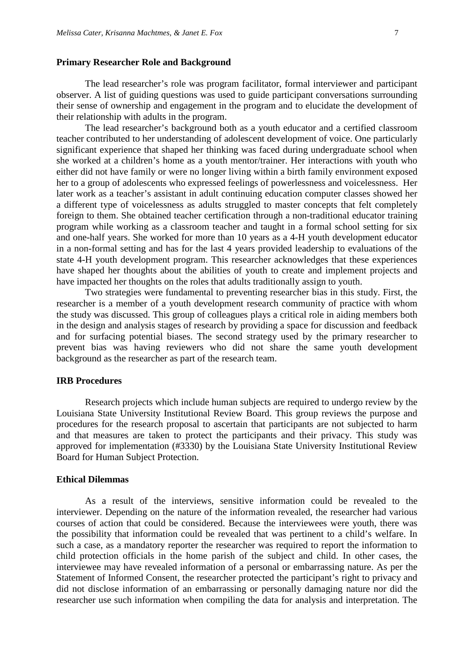#### **Primary Researcher Role and Background**

The lead researcher's role was program facilitator, formal interviewer and participant observer. A list of guiding questions was used to guide participant conversations surrounding their sense of ownership and engagement in the program and to elucidate the development of their relationship with adults in the program.

The lead researcher's background both as a youth educator and a certified classroom teacher contributed to her understanding of adolescent development of voice. One particularly significant experience that shaped her thinking was faced during undergraduate school when she worked at a children's home as a youth mentor/trainer. Her interactions with youth who either did not have family or were no longer living within a birth family environment exposed her to a group of adolescents who expressed feelings of powerlessness and voicelessness. Her later work as a teacher's assistant in adult continuing education computer classes showed her a different type of voicelessness as adults struggled to master concepts that felt completely foreign to them. She obtained teacher certification through a non-traditional educator training program while working as a classroom teacher and taught in a formal school setting for six and one-half years. She worked for more than 10 years as a 4-H youth development educator in a non-formal setting and has for the last 4 years provided leadership to evaluations of the state 4-H youth development program. This researcher acknowledges that these experiences have shaped her thoughts about the abilities of youth to create and implement projects and have impacted her thoughts on the roles that adults traditionally assign to youth.

Two strategies were fundamental to preventing researcher bias in this study. First, the researcher is a member of a youth development research community of practice with whom the study was discussed. This group of colleagues plays a critical role in aiding members both in the design and analysis stages of research by providing a space for discussion and feedback and for surfacing potential biases. The second strategy used by the primary researcher to prevent bias was having reviewers who did not share the same youth development background as the researcher as part of the research team.

## **IRB Procedures**

Research projects which include human subjects are required to undergo review by the Louisiana State University Institutional Review Board. This group reviews the purpose and procedures for the research proposal to ascertain that participants are not subjected to harm and that measures are taken to protect the participants and their privacy. This study was approved for implementation (#3330) by the Louisiana State University Institutional Review Board for Human Subject Protection.

#### **Ethical Dilemmas**

As a result of the interviews, sensitive information could be revealed to the interviewer. Depending on the nature of the information revealed, the researcher had various courses of action that could be considered. Because the interviewees were youth, there was the possibility that information could be revealed that was pertinent to a child's welfare. In such a case, as a mandatory reporter the researcher was required to report the information to child protection officials in the home parish of the subject and child. In other cases, the interviewee may have revealed information of a personal or embarrassing nature. As per the Statement of Informed Consent, the researcher protected the participant's right to privacy and did not disclose information of an embarrassing or personally damaging nature nor did the researcher use such information when compiling the data for analysis and interpretation. The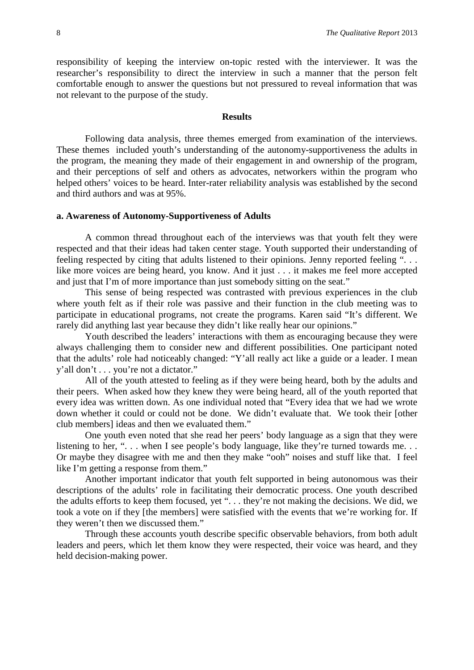responsibility of keeping the interview on-topic rested with the interviewer. It was the researcher's responsibility to direct the interview in such a manner that the person felt comfortable enough to answer the questions but not pressured to reveal information that was not relevant to the purpose of the study.

#### **Results**

Following data analysis, three themes emerged from examination of the interviews. These themes included youth's understanding of the autonomy-supportiveness the adults in the program, the meaning they made of their engagement in and ownership of the program, and their perceptions of self and others as advocates, networkers within the program who helped others' voices to be heard. Inter-rater reliability analysis was established by the second and third authors and was at 95%.

#### **a. Awareness of Autonomy-Supportiveness of Adults**

A common thread throughout each of the interviews was that youth felt they were respected and that their ideas had taken center stage. Youth supported their understanding of feeling respected by citing that adults listened to their opinions. Jenny reported feeling ". . . like more voices are being heard, you know. And it just . . . it makes me feel more accepted and just that I'm of more importance than just somebody sitting on the seat."

This sense of being respected was contrasted with previous experiences in the club where youth felt as if their role was passive and their function in the club meeting was to participate in educational programs, not create the programs. Karen said "It's different. We rarely did anything last year because they didn't like really hear our opinions."

Youth described the leaders' interactions with them as encouraging because they were always challenging them to consider new and different possibilities. One participant noted that the adults' role had noticeably changed: "Y'all really act like a guide or a leader. I mean y'all don't . . . you're not a dictator."

All of the youth attested to feeling as if they were being heard, both by the adults and their peers. When asked how they knew they were being heard, all of the youth reported that every idea was written down. As one individual noted that "Every idea that we had we wrote down whether it could or could not be done. We didn't evaluate that. We took their [other club members] ideas and then we evaluated them."

One youth even noted that she read her peers' body language as a sign that they were listening to her, "... when I see people's body language, like they're turned towards me... Or maybe they disagree with me and then they make "ooh" noises and stuff like that. I feel like I'm getting a response from them."

Another important indicator that youth felt supported in being autonomous was their descriptions of the adults' role in facilitating their democratic process. One youth described the adults efforts to keep them focused, yet ". . . they're not making the decisions. We did, we took a vote on if they [the members] were satisfied with the events that we're working for. If they weren't then we discussed them."

Through these accounts youth describe specific observable behaviors, from both adult leaders and peers, which let them know they were respected, their voice was heard, and they held decision-making power.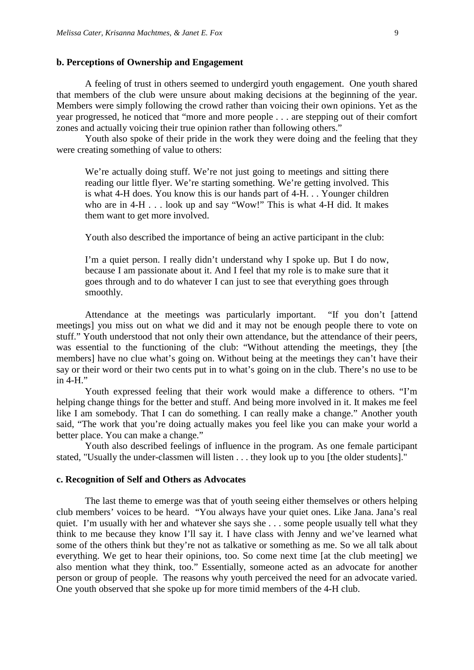#### **b. Perceptions of Ownership and Engagement**

A feeling of trust in others seemed to undergird youth engagement. One youth shared that members of the club were unsure about making decisions at the beginning of the year. Members were simply following the crowd rather than voicing their own opinions. Yet as the year progressed, he noticed that "more and more people . . . are stepping out of their comfort zones and actually voicing their true opinion rather than following others."

Youth also spoke of their pride in the work they were doing and the feeling that they were creating something of value to others:

We're actually doing stuff. We're not just going to meetings and sitting there reading our little flyer. We're starting something. We're getting involved. This is what 4-H does. You know this is our hands part of 4-H. . . Younger children who are in 4-H . . . look up and say "Wow!" This is what 4-H did. It makes them want to get more involved.

Youth also described the importance of being an active participant in the club:

I'm a quiet person. I really didn't understand why I spoke up. But I do now, because I am passionate about it. And I feel that my role is to make sure that it goes through and to do whatever I can just to see that everything goes through smoothly.

Attendance at the meetings was particularly important. "If you don't [attend meetings] you miss out on what we did and it may not be enough people there to vote on stuff." Youth understood that not only their own attendance, but the attendance of their peers, was essential to the functioning of the club: "Without attending the meetings, they [the members] have no clue what's going on. Without being at the meetings they can't have their say or their word or their two cents put in to what's going on in the club. There's no use to be in 4-H."

Youth expressed feeling that their work would make a difference to others. "I'm helping change things for the better and stuff. And being more involved in it. It makes me feel like I am somebody. That I can do something. I can really make a change." Another youth said, "The work that you're doing actually makes you feel like you can make your world a better place. You can make a change."

Youth also described feelings of influence in the program. As one female participant stated, "Usually the under-classmen will listen . . . they look up to you [the older students]."

#### **c. Recognition of Self and Others as Advocates**

The last theme to emerge was that of youth seeing either themselves or others helping club members' voices to be heard. "You always have your quiet ones. Like Jana. Jana's real quiet. I'm usually with her and whatever she says she . . . some people usually tell what they think to me because they know I'll say it. I have class with Jenny and we've learned what some of the others think but they're not as talkative or something as me. So we all talk about everything. We get to hear their opinions, too. So come next time [at the club meeting] we also mention what they think, too." Essentially, someone acted as an advocate for another person or group of people. The reasons why youth perceived the need for an advocate varied. One youth observed that she spoke up for more timid members of the 4-H club.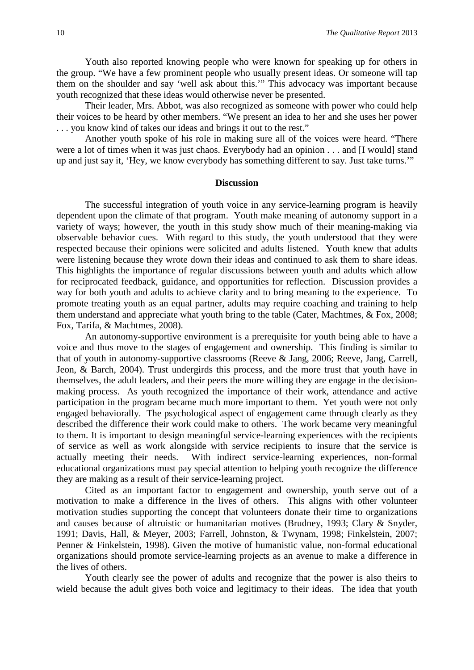Youth also reported knowing people who were known for speaking up for others in the group. "We have a few prominent people who usually present ideas. Or someone will tap them on the shoulder and say 'well ask about this.'" This advocacy was important because youth recognized that these ideas would otherwise never be presented.

Their leader, Mrs. Abbot, was also recognized as someone with power who could help their voices to be heard by other members. "We present an idea to her and she uses her power . . . you know kind of takes our ideas and brings it out to the rest."

Another youth spoke of his role in making sure all of the voices were heard. "There were a lot of times when it was just chaos. Everybody had an opinion . . . and [I would] stand up and just say it, 'Hey, we know everybody has something different to say. Just take turns.'"

#### **Discussion**

The successful integration of youth voice in any service-learning program is heavily dependent upon the climate of that program. Youth make meaning of autonomy support in a variety of ways; however, the youth in this study show much of their meaning-making via observable behavior cues. With regard to this study, the youth understood that they were respected because their opinions were solicited and adults listened. Youth knew that adults were listening because they wrote down their ideas and continued to ask them to share ideas. This highlights the importance of regular discussions between youth and adults which allow for reciprocated feedback, guidance, and opportunities for reflection. Discussion provides a way for both youth and adults to achieve clarity and to bring meaning to the experience. To promote treating youth as an equal partner, adults may require coaching and training to help them understand and appreciate what youth bring to the table (Cater, Machtmes, & Fox, 2008; Fox, Tarifa, & Machtmes, 2008).

An autonomy-supportive environment is a prerequisite for youth being able to have a voice and thus move to the stages of engagement and ownership. This finding is similar to that of youth in autonomy-supportive classrooms (Reeve & Jang, 2006; Reeve, Jang, Carrell, Jeon, & Barch, 2004). Trust undergirds this process, and the more trust that youth have in themselves, the adult leaders, and their peers the more willing they are engage in the decisionmaking process. As youth recognized the importance of their work, attendance and active participation in the program became much more important to them. Yet youth were not only engaged behaviorally. The psychological aspect of engagement came through clearly as they described the difference their work could make to others. The work became very meaningful to them. It is important to design meaningful service-learning experiences with the recipients of service as well as work alongside with service recipients to insure that the service is actually meeting their needs. With indirect service-learning experiences, non-formal educational organizations must pay special attention to helping youth recognize the difference they are making as a result of their service-learning project.

Cited as an important factor to engagement and ownership, youth serve out of a motivation to make a difference in the lives of others. This aligns with other volunteer motivation studies supporting the concept that volunteers donate their time to organizations and causes because of altruistic or humanitarian motives (Brudney, 1993; Clary & Snyder, 1991; Davis, Hall, & Meyer, 2003; Farrell, Johnston, & Twynam, 1998; Finkelstein, 2007; Penner & Finkelstein, 1998). Given the motive of humanistic value, non-formal educational organizations should promote service-learning projects as an avenue to make a difference in the lives of others.

Youth clearly see the power of adults and recognize that the power is also theirs to wield because the adult gives both voice and legitimacy to their ideas. The idea that youth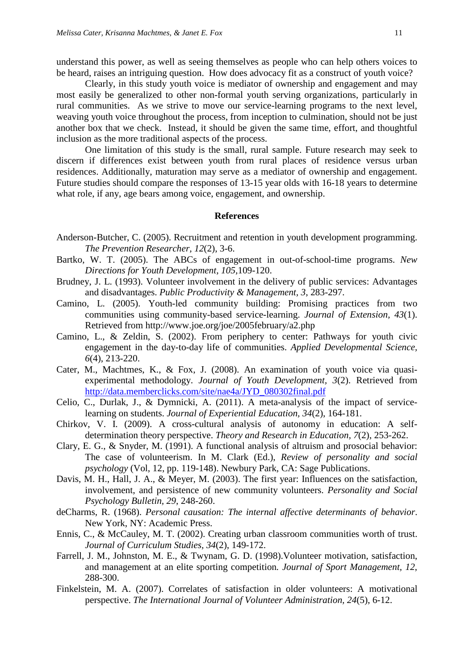understand this power, as well as seeing themselves as people who can help others voices to be heard, raises an intriguing question. How does advocacy fit as a construct of youth voice?

Clearly, in this study youth voice is mediator of ownership and engagement and may most easily be generalized to other non-formal youth serving organizations, particularly in rural communities. As we strive to move our service-learning programs to the next level, weaving youth voice throughout the process, from inception to culmination, should not be just another box that we check. Instead, it should be given the same time, effort, and thoughtful inclusion as the more traditional aspects of the process.

One limitation of this study is the small, rural sample. Future research may seek to discern if differences exist between youth from rural places of residence versus urban residences. Additionally, maturation may serve as a mediator of ownership and engagement. Future studies should compare the responses of 13-15 year olds with 16-18 years to determine what role, if any, age bears among voice, engagement, and ownership.

#### **References**

- Anderson-Butcher, C. (2005). Recruitment and retention in youth development programming. *The Prevention Researcher, 12*(2), 3-6.
- Bartko, W. T. (2005). The ABCs of engagement in out-of-school-time programs. *New Directions for Youth Development, 105,*109-120.
- Brudney, J. L. (1993). Volunteer involvement in the delivery of public services: Advantages and disadvantages. *Public Productivity & Management, 3*, 283-297.
- Camino, L. (2005). Youth-led community building: Promising practices from two communities using community-based service-learning. *Journal of Extension, 43*(1). Retrieved from http://www.joe.org/joe/2005february/a2.php
- Camino, L., & Zeldin, S. (2002). From periphery to center: Pathways for youth civic engagement in the day-to-day life of communities. *Applied Developmental Science, 6*(4), 213-220.
- Cater, M., Machtmes, K., & Fox, J. (2008). An examination of youth voice via quasiexperimental methodology. *Journal of Youth Development, 3*(2). Retrieved from [http://data.memberclicks.com/site/nae4a/JYD\\_080302final.pdf](http://data.memberclicks.com/site/nae4a/JYD_080302final.pdf)
- Celio, C., Durlak, J., & Dymnicki, A. (2011). A meta-analysis of the impact of servicelearning on students. *Journal of Experiential Education, 34*(2), 164-181.
- Chirkov, V. I. (2009). A cross-cultural analysis of autonomy in education: A selfdetermination theory perspective. *Theory and Research in Education, 7*(2), 253-262.
- Clary, E. G., & Snyder, M. (1991). A functional analysis of altruism and prosocial behavior: The case of volunteerism. In M. Clark (Ed.), *Review of personality and social psychology* (Vol, 12, pp. 119-148). Newbury Park, CA: Sage Publications.
- Davis, M. H., Hall, J. A., & Meyer, M. (2003). The first year: Influences on the satisfaction, involvement, and persistence of new community volunteers. *Personality and Social Psychology Bulletin, 29*, 248-260.
- deCharms, R. (1968). *Personal causation: The internal affective determinants of behavior*. New York, NY: Academic Press.
- Ennis, C., & McCauley, M. T. (2002). Creating urban classroom communities worth of trust. *Journal of Curriculum Studies, 34*(2), 149-172.
- Farrell, J. M., Johnston, M. E., & Twynam, G. D. (1998).Volunteer motivation, satisfaction, and management at an elite sporting competition*. Journal of Sport Management, 12*, 288-300.
- Finkelstein, M. A. (2007). Correlates of satisfaction in older volunteers: A motivational perspective. *The International Journal of Volunteer Administration, 24*(5), 6-12.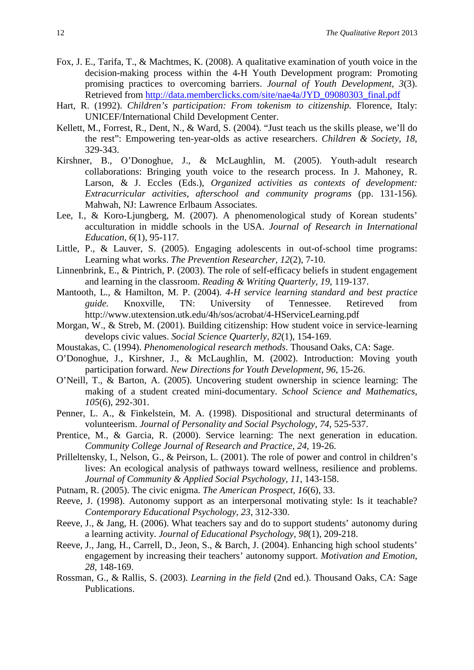- Fox, J. E., Tarifa, T., & Machtmes, K. (2008). A qualitative examination of youth voice in the decision-making process within the 4-H Youth Development program: Promoting promising practices to overcoming barriers. *Journal of Youth Development, 3*(3). Retrieved from [http://data.memberclicks.com/site/nae4a/JYD\\_09080303\\_final.pdf](http://data.memberclicks.com/site/nae4a/JYD_09080303_final.pdf)
- Hart, R. (1992). *Children's participation: From tokenism to citizenship*. Florence, Italy: UNICEF/International Child Development Center.
- Kellett, M., Forrest, R., Dent, N., & Ward, S. (2004). "Just teach us the skills please, we'll do the rest": Empowering ten-year-olds as active researchers. *Children & Society, 18*, 329-343.
- Kirshner, B., O'Donoghue, J., & McLaughlin, M. (2005). Youth-adult research collaborations: Bringing youth voice to the research process. In J. Mahoney, R. Larson, & J. Eccles (Eds.), *Organized activities as contexts of development: Extracurricular activities, afterschool and community programs* (pp. 131-156)*.*  Mahwah, NJ: Lawrence Erlbaum Associates.
- Lee, I., & Koro-Ljungberg, M. (2007). A phenomenological study of Korean students' acculturation in middle schools in the USA. *Journal of Research in International Education, 6*(1), 95-117*.*
- Little, P., & Lauver, S. (2005). Engaging adolescents in out-of-school time programs: Learning what works. *The Prevention Researcher, 12*(2), 7-10.
- Linnenbrink, E., & Pintrich, P. (2003). The role of self-efficacy beliefs in student engagement and learning in the classroom. *Reading & Writing Quarterly, 19*, 119-137.
- Mantooth, L., & Hamilton, M. P. (2004). *4-H service learning standard and best practice guide*. Knoxville, TN: University of Tennessee. Retireved from http://www.utextension.utk.edu/4h/sos/acrobat/4-HServiceLearning.pdf
- Morgan, W., & Streb, M. (2001). Building citizenship: How student voice in service-learning develops civic values. *Social Science Quarterly, 82*(1), 154-169.
- Moustakas, C. (1994). *Phenomenological research methods*. Thousand Oaks, CA: Sage.
- O'Donoghue, J., Kirshner, J., & McLaughlin, M. (2002). Introduction: Moving youth participation forward. *New Directions for Youth Development, 96,* 15-26.
- O'Neill, T., & Barton, A. (2005). Uncovering student ownership in science learning: The making of a student created mini-documentary. *School Science and Mathematics, 105*(6), 292-301.
- Penner, L. A., & Finkelstein, M. A. (1998). Dispositional and structural determinants of volunteerism. *Journal of Personality and Social Psychology, 74*, 525-537.
- Prentice, M., & Garcia, R. (2000). Service learning: The next generation in education. *Community College Journal of Research and Practice, 24,* 19-26.
- Prilleltensky, I., Nelson, G., & Peirson, L. (2001). The role of power and control in children's lives: An ecological analysis of pathways toward wellness, resilience and problems. *Journal of Community & Applied Social Psychology, 11*, 143-158.
- Putnam, R. (2005). The civic enigma. *The American Prospect, 16*(6), 33.
- Reeve, J. (1998). Autonomy support as an interpersonal motivating style: Is it teachable? *Contemporary Educational Psychology, 23*, 312-330.
- Reeve, J., & Jang, H. (2006). What teachers say and do to support students' autonomy during a learning activity. *Journal of Educational Psychology, 98*(1), 209-218.
- Reeve, J., Jang, H., Carrell, D., Jeon, S., & Barch, J. (2004). Enhancing high school students' engagement by increasing their teachers' autonomy support. *Motivation and Emotion, 28,* 148-169.
- Rossman, G., & Rallis, S. (2003). *Learning in the field* (2nd ed.). Thousand Oaks, CA: Sage Publications.